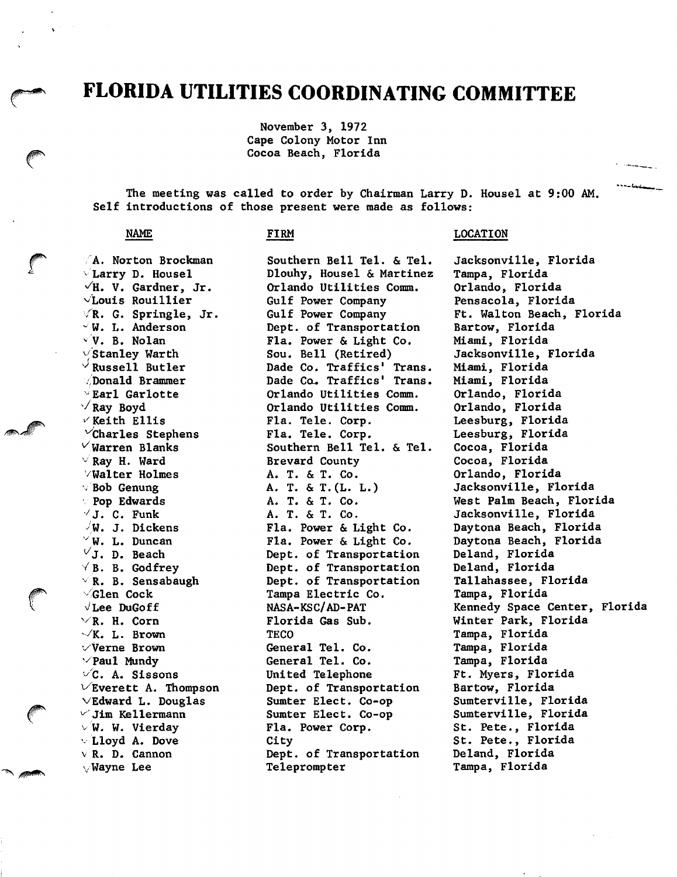## FLORIDA UTILITIES COORDINATING COMMITTEE

November 3, 1972 Cape Colony Motor Inn Cocoa Beach, Florida

The meeting was called to order by Chairman Larry D. Housel at 9:00 AM. Self introductions of those present were made as follows;

## NAME

## FIRM

 $\forall$ R. G. Springle, Jr. A. Norton Brockman  $\vee$  Larry D. Housel  $\sqrt{H}$ . V. Gardner, Jr.  $\sqrt{L}$ ouis Rouillier  $\vee$ W. L. Anderson  $\vee$  V. B. Nolan  $\sqrt{\text{Stanley}}$  Warth  $\vee$  Russell Butler /Donald Brammer  $^{\vee}$ Earl Garlotte  $\sqrt{$  Ray Boyd  $\vee$  Keith Ellis  $\vee$ Charles Stephens  $\vee$ Warren Blanks  $\vee$  Ray H. Ward '/Walter Holmes '/ Bob Genung Pop Edwards  $\forall$  J. C. Funk J. Dickens  $W. L. Duncan$  $\vee$ J. D. Beach  $\forall$  B. B. Godfrey  $\rm \sim R.$  B. Sensabaugh ''Glen Cock  $\sqrt{L}$ ee DuGoff  $\vee$ R. H. Corn  $\vee$ K. L. Brown  $\vee$ Verne Brown  $\vee$ Paul Mundy  $\vee$ C. A. Sissons  $\vee$ Everett A. Thompson  $\vee$ Edward L. Douglas  $\vee$  Jim Kellermann  $\vee$  W. W. Vierday -Lloyd A. Dove V R. D. Cannon  $\vee$  Wayne Lee

Southern Bell Tel. & Tel. Dlouhy, Housel & Martinez Orlando Utilities Comm. Gulf Power Company Gulf Power Company Dept. of Transportation Fla. Power & Light Co. Sou. Bell (Retired) Dade Co. Traffics' Trans. Dade Ca. Traffics' Trans. Orlando Utilities Comm. Orlando Utilities Comm. Fla. Tele. Corp. Fla. Tele. Corp. Southern Bell Tel. & Tel. Brevard County A. T. & T. Co. A. T. & T.(L. L.) A. T. & T. Co. A. T. & T. Co. Fla. Power & Light Co. Fla. Power & Light Co. Dept. of Transportation Dept. of Transportation Dept. of Transportation Tampa Electric Co. NASA-KSC/AD-PAT Florida Gas Sub. **TECO** General Tel. Co. General Tel. Co. United Telephone Dept. of Transportation Sumter Elect. Co-op Sumter Elect. Co-op Fla. Power Corp. City Dept. of Transportation Teleprompter

## LOCATION

Jacksonville, Florida Tampa, Florida Orlando, Florida Pensacola, Florida Ft. Walton Beach, Florida Bartow, Florida Miami, Florida Jacksonville, Florida Miami, Florida Miami, Florida Orlando, Florida Orlando, Florida Leesburg, Florida Leesburg, Florida Cocoa, Florida Cocoa, Florida Orlando, Florida Jacksonville, Florida West Palm Beach, Florida Jacksonville, Florida Daytona Beach, Florida Daytona Beach, Florida Deland, Florida Deland, Florida Tallahassee, Florida Tampa, Florida Kennedy Space Center, Florida Winter Park, Florida Tampa, Florida Tampa, Florida Tampa, Florida Ft. Myers, Florida Bartow, Florida Sumterville, Florida Sumterville, Florida St. Pete., Florida St. Pete., Florida Deland, Florida Tampa, Florida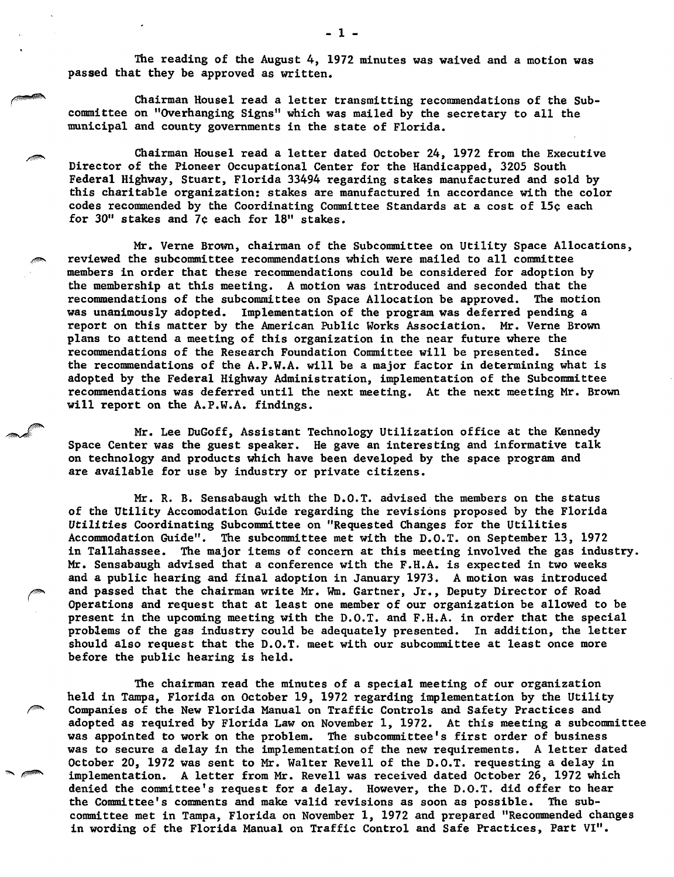The reading of the August 4, 1972 minutes was waived and a motion was passed that they be approved as written.

Chairman Housel read a letter transmitting recommendations of the Sub committee on "Overhanging Signs" which was mailed by the secretary to all the municipal and county governments in the state of Florida.

Chairman Housel read a letter dated October 24, 1972 from the Executive Director of the Pioneer Occupational Center for the Handicapped, 3205 South Federal Highway, Stuart, Florida 33494 regarding stakes manufactured and sold by this charitable organization: stakes are manufactured in accordance with the color codes recommended by the Coordinating Committee Standards at a cost of 15c each for 30" stakes and 7c each for 18" stakes.

Mr. Verne Brown, chairman of the Subcommittee on Utility Space Allocations, reviewed the subcommittee recommendations which were mailed to all committee members in order that these recommendations could be considered for adoption by the membership at this meeting. A motion was introduced and seconded that the recommendations of the subcommittee on Space Allocation be approved. The motion was unanimously adopted. Implementation of the program was deferred pending a report on this matter by the American Public Works Association. Mr. Verne Brown plans to attend a meeting of this organization in the near future where the recommendations of the Research Foundation Committee will be presented. Since the recommendations of the A.P.W.A. will be a major factor in determining what is adopted by the Federal Highway Administration, implementation of the Subcommittee recommendations was deferred until the next meeting. At the next meeting Mr. Brown will report on the A.P.W.A. findings.

Mr. Lee DuGoff, Assistant Technology Utilization office at the Kennedy Space Center was the guest speaker. He gave an interesting and informative talk on technology and products which have been developed by the space program and are available for use by industry or private citizens.

Mr. R. B. Sensabaugh with the D.O.T. advised the members on the status of the Utility Accomodation Guide regarding the revisions proposed by the Florida Utilities Coordinating Subcommittee on "Requested Changes for the Utilities Accommodation Guide". The subcommittee met with the D.O.T. on September 13, 1972 in Tallahassee. The major items of concern at this meeting involved the gas industry. Mr. Sensabaugh advised that a conference with the F.H.A. is expected in two weeks and a public hearing and final adoption in January 1973. A motion was introduced and passed that the chairman write Mr. Wm. Gartner, Jr., Deputy Director of Road Operations and request that at least one member of our organization be allowed to be present in the upcoming meeting with the D.O.T. and F.H.A. in order that the special problems of the gas industry could be adequately presented. In addition, the letter should also request that the D.O.T. meet with our subcommittee at least once more before the public hearing is held.

The chairman read the minutes of a special meeting of our organization held in Tampa, Florida on October 19, 1972 regarding implementation by the Utility Companies of the New Florida Manual on Traffic Controls and Safety Practices and adopted as required by Florida Law on November 1, 1972. At this meeting a subcommittee was appointed to work on the problem. The subcommittee's first order of business was to secure a delay in the implementation of the new requirements. A letter dated October 20, 1972 was sent to Mr. Walter Revell of the D.O.T. requesting a delay in implementation. A letter from Mr. Revell was received dated October 26, 1972 which denied the committee's request for a delay. However, the D.O.T. did offer to hear the Committee's comments and make valid revisions as soon as possible. The sub committee met in Tampa, Florida on November 1, 1972 and prepared "Recommended changes in wording of the Florida Manual on Traffic Control and Safe Practices, Part VI".